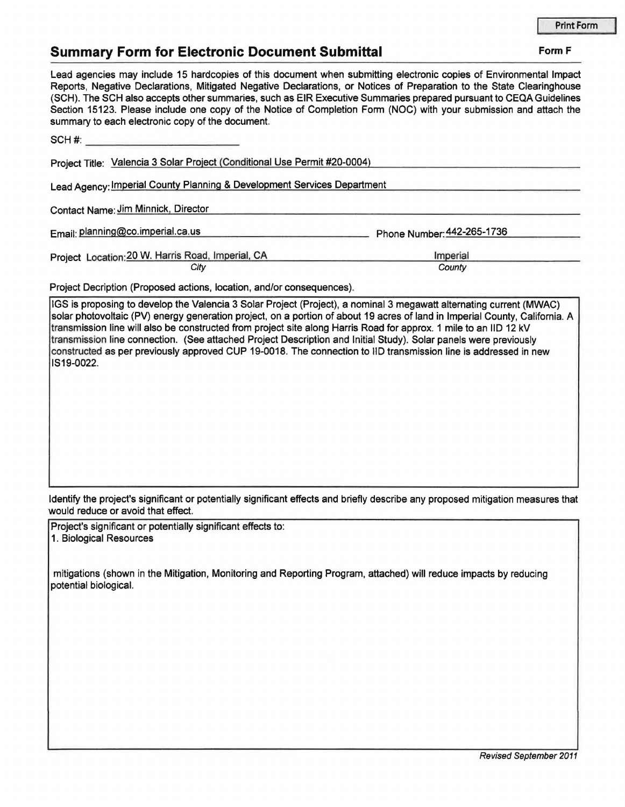## **Summary Form for Electronic Document Submittal Form F Form F**

| Lead agencies may include 15 hardcopies of this document when submitting electronic copies of Environmental Impact<br>Reports, Negative Declarations, Mitigated Negative Declarations, or Notices of Preparation to the State Clearinghouse<br>(SCH). The SCH also accepts other summaries, such as EIR Executive Summaries prepared pursuant to CEQA Guidelines<br>Section 15123. Please include one copy of the Notice of Completion Form (NOC) with your submission and attach the<br>summary to each electronic copy of the document. |                            |
|-------------------------------------------------------------------------------------------------------------------------------------------------------------------------------------------------------------------------------------------------------------------------------------------------------------------------------------------------------------------------------------------------------------------------------------------------------------------------------------------------------------------------------------------|----------------------------|
|                                                                                                                                                                                                                                                                                                                                                                                                                                                                                                                                           |                            |
| Project Title: Valencia 3 Solar Project (Conditional Use Permit #20-0004)                                                                                                                                                                                                                                                                                                                                                                                                                                                                 |                            |
| Lead Agency: Imperial County Planning & Development Services Department                                                                                                                                                                                                                                                                                                                                                                                                                                                                   |                            |
| Contact Name: Jim Minnick, Director                                                                                                                                                                                                                                                                                                                                                                                                                                                                                                       |                            |
| Email: planning@co.imperial.ca.us                                                                                                                                                                                                                                                                                                                                                                                                                                                                                                         | Phone Number: 442-265-1736 |
| Project Location: 20 W. Harris Road, Imperial, CA                                                                                                                                                                                                                                                                                                                                                                                                                                                                                         | Imperial                   |

| Imperial |  |
|----------|--|
| County   |  |

**City** 

|  |  |  |  |  |  | Project Decription (Proposed actions, location, and/or consequences). |  |
|--|--|--|--|--|--|-----------------------------------------------------------------------|--|
|--|--|--|--|--|--|-----------------------------------------------------------------------|--|

IGS is proposing to develop the Valencia 3 Solar Project (Project), a nominal 3 megawatt alternating current (MWAC) solar photovoltaic (PV) energy generation project, on a portion of about 19 acres of land in Imperial County, California. A transmission line will also be constructed from project site along Harris Road for approx. 1 mile to an IID 12 kV transmission line connection. (See attached Project Description and Initial Study). Solar panels were previously constructed as per previously approved CUP 19-0018. The connection to IID transmission line is addressed in new IS19-0022.

Identify the project's significant or potentially significant effects and briefly describe any proposed mitigation measures that would reduce or avoid that effect.

Project's significant or potentially significant effects to: 1. Biological Resources

mitigations (shown in the Mitigation, Monitoring and Reporting Program, attached) will reduce impacts by reducing potential biological.